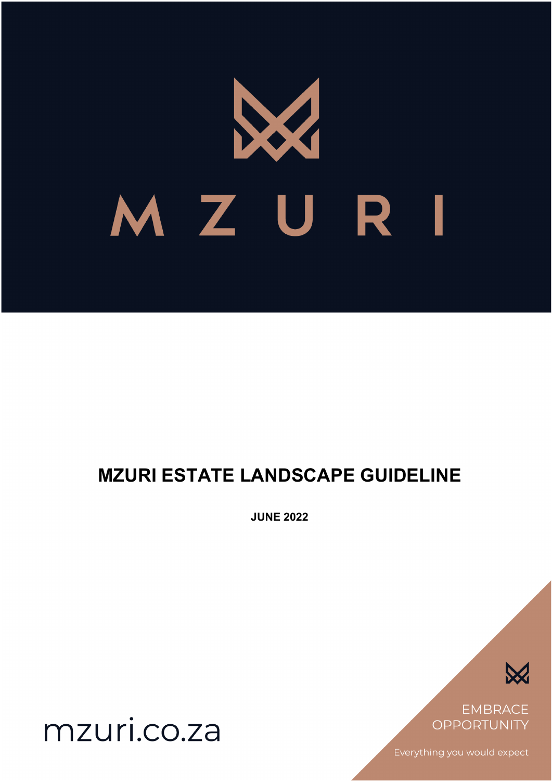# MZURI

# **MZURI ESTATE LANDSCAPE GUIDELINE**

**JUNE 2022**



**EMBRACE OPPORTUNITY** 

Everything you would expect

mzuri.co.za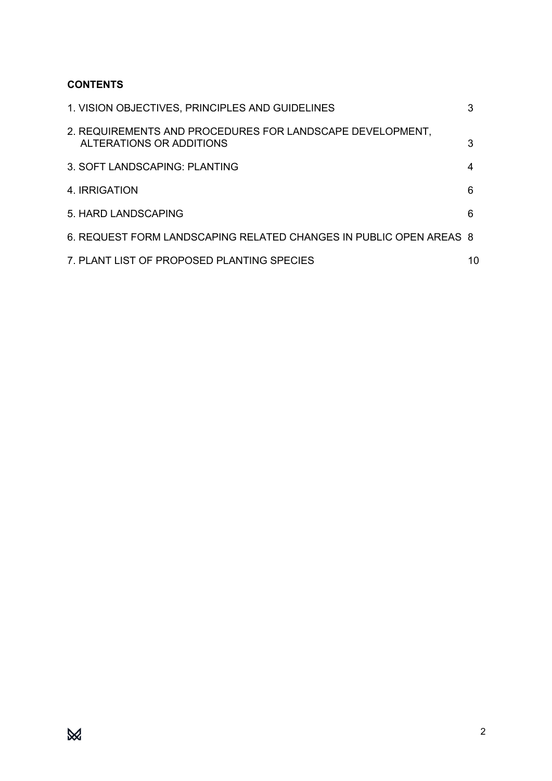# **CONTENTS**

| 1. VISION OBJECTIVES, PRINCIPLES AND GUIDELINES                                       | 3  |
|---------------------------------------------------------------------------------------|----|
| 2. REQUIREMENTS AND PROCEDURES FOR LANDSCAPE DEVELOPMENT,<br>ALTERATIONS OR ADDITIONS | 3  |
| 3. SOFT LANDSCAPING: PLANTING                                                         | 4  |
| 4. IRRIGATION                                                                         | 6  |
| 5. HARD LANDSCAPING                                                                   | 6  |
| 6. REQUEST FORM LANDSCAPING RELATED CHANGES IN PUBLIC OPEN AREAS 8                    |    |
| 7. PLANT LIST OF PROPOSED PLANTING SPECIES                                            | 10 |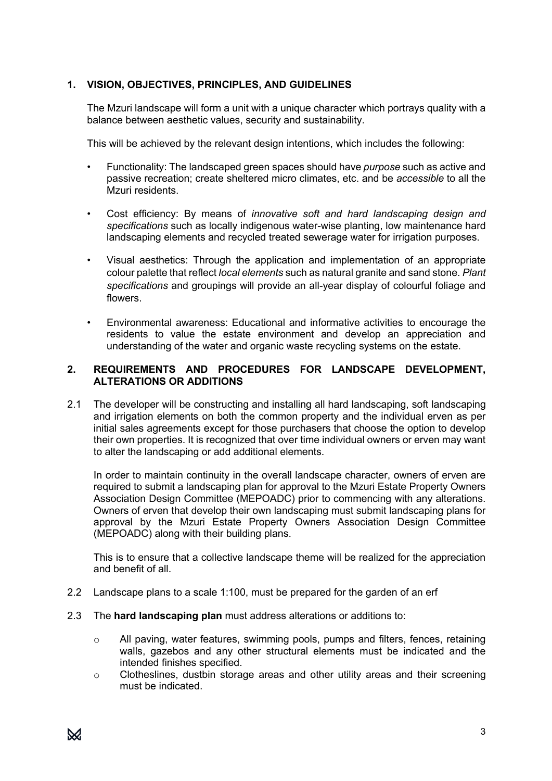# **1. VISION, OBJECTIVES, PRINCIPLES, AND GUIDELINES**

The Mzuri landscape will form a unit with a unique character which portrays quality with a balance between aesthetic values, security and sustainability.

This will be achieved by the relevant design intentions, which includes the following:

- Functionality: The landscaped green spaces should have *purpose* such as active and passive recreation; create sheltered micro climates, etc. and be *accessible* to all the Mzuri residents.
- Cost efficiency: By means of *innovative soft and hard landscaping design and specifications* such as locally indigenous water-wise planting, low maintenance hard landscaping elements and recycled treated sewerage water for irrigation purposes.
- Visual aesthetics: Through the application and implementation of an appropriate colour palette that reflect *local elements* such as natural granite and sand stone. *Plant specifications* and groupings will provide an all-year display of colourful foliage and flowers.
- Environmental awareness: Educational and informative activities to encourage the residents to value the estate environment and develop an appreciation and understanding of the water and organic waste recycling systems on the estate.

## **2. REQUIREMENTS AND PROCEDURES FOR LANDSCAPE DEVELOPMENT, ALTERATIONS OR ADDITIONS**

2.1 The developer will be constructing and installing all hard landscaping, soft landscaping and irrigation elements on both the common property and the individual erven as per initial sales agreements except for those purchasers that choose the option to develop their own properties. It is recognized that over time individual owners or erven may want to alter the landscaping or add additional elements.

In order to maintain continuity in the overall landscape character, owners of erven are required to submit a landscaping plan for approval to the Mzuri Estate Property Owners Association Design Committee (MEPOADC) prior to commencing with any alterations. Owners of erven that develop their own landscaping must submit landscaping plans for approval by the Mzuri Estate Property Owners Association Design Committee (MEPOADC) along with their building plans.

This is to ensure that a collective landscape theme will be realized for the appreciation and benefit of all.

- 2.2 Landscape plans to a scale 1:100, must be prepared for the garden of an erf
- 2.3 The **hard landscaping plan** must address alterations or additions to:
	- o All paving, water features, swimming pools, pumps and filters, fences, retaining walls, gazebos and any other structural elements must be indicated and the intended finishes specified.
	- o Clotheslines, dustbin storage areas and other utility areas and their screening must be indicated.

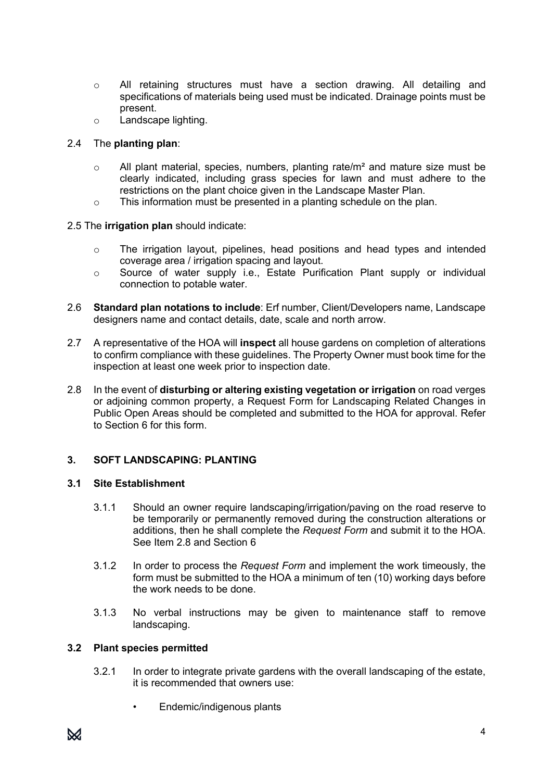- o All retaining structures must have a section drawing. All detailing and specifications of materials being used must be indicated. Drainage points must be present.
- o Landscape lighting.

# 2.4 The **planting plan**:

- $\circ$  All plant material, species, numbers, planting rate/m<sup>2</sup> and mature size must be clearly indicated, including grass species for lawn and must adhere to the restrictions on the plant choice given in the Landscape Master Plan.
- o This information must be presented in a planting schedule on the plan.

# 2.5 The **irrigation plan** should indicate:

- $\circ$  The irrigation layout, pipelines, head positions and head types and intended coverage area / irrigation spacing and layout.
- $\circ$  Source of water supply i.e., Estate Purification Plant supply or individual connection to potable water.
- 2.6 **Standard plan notations to include**: Erf number, Client/Developers name, Landscape designers name and contact details, date, scale and north arrow.
- 2.7 A representative of the HOA will **inspect** all house gardens on completion of alterations to confirm compliance with these guidelines. The Property Owner must book time for the inspection at least one week prior to inspection date.
- 2.8 In the event of **disturbing or altering existing vegetation or irrigation** on road verges or adjoining common property, a Request Form for Landscaping Related Changes in Public Open Areas should be completed and submitted to the HOA for approval. Refer to Section 6 for this form.

# **3. SOFT LANDSCAPING: PLANTING**

## **3.1 Site Establishment**

- 3.1.1 Should an owner require landscaping/irrigation/paving on the road reserve to be temporarily or permanently removed during the construction alterations or additions, then he shall complete the *Request Form* and submit it to the HOA. See Item 2.8 and Section 6
- 3.1.2 In order to process the *Request Form* and implement the work timeously, the form must be submitted to the HOA a minimum of ten (10) working days before the work needs to be done.
- 3.1.3 No verbal instructions may be given to maintenance staff to remove landscaping.

## **3.2 Plant species permitted**

- 3.2.1 In order to integrate private gardens with the overall landscaping of the estate, it is recommended that owners use:
	- Endemic/indigenous plants

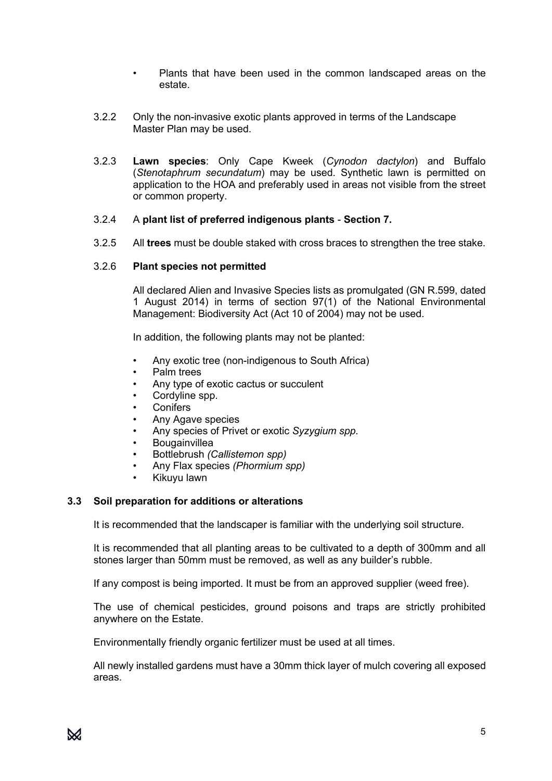- Plants that have been used in the common landscaped areas on the estate.
- 3.2.2 Only the non-invasive exotic plants approved in terms of the Landscape Master Plan may be used.
- 3.2.3 **Lawn species**: Only Cape Kweek (*Cynodon dactylon*) and Buffalo (*Stenotaphrum secundatum*) may be used. Synthetic lawn is permitted on application to the HOA and preferably used in areas not visible from the street or common property.

#### 3.2.4 A **plant list of preferred indigenous plants** - **Section 7.**

3.2.5 All **trees** must be double staked with cross braces to strengthen the tree stake.

#### 3.2.6 **Plant species not permitted**

All declared Alien and Invasive Species lists as promulgated (GN R.599, dated 1 August 2014) in terms of section 97(1) of the National Environmental Management: Biodiversity Act (Act 10 of 2004) may not be used.

In addition, the following plants may not be planted:

- Any exotic tree (non-indigenous to South Africa)
- Palm trees
- Any type of exotic cactus or succulent
- Cordyline spp.
- **Conifers**
- Any Agave species
- Any species of Privet or exotic *Syzygium spp.*
- **Bougainvillea**
- Bottlebrush *(Callistemon spp)*
- Any Flax species *(Phormium spp)*
- Kikuyu lawn

#### **3.3 Soil preparation for additions or alterations**

It is recommended that the landscaper is familiar with the underlying soil structure.

It is recommended that all planting areas to be cultivated to a depth of 300mm and all stones larger than 50mm must be removed, as well as any builder's rubble.

If any compost is being imported. It must be from an approved supplier (weed free).

The use of chemical pesticides, ground poisons and traps are strictly prohibited anywhere on the Estate.

Environmentally friendly organic fertilizer must be used at all times.

All newly installed gardens must have a 30mm thick layer of mulch covering all exposed areas.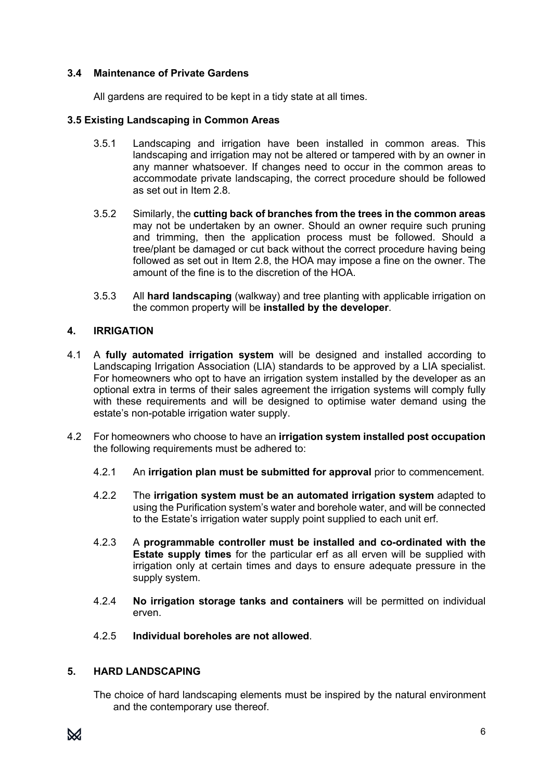### **3.4 Maintenance of Private Gardens**

All gardens are required to be kept in a tidy state at all times.

#### **3.5 Existing Landscaping in Common Areas**

- 3.5.1 Landscaping and irrigation have been installed in common areas. This landscaping and irrigation may not be altered or tampered with by an owner in any manner whatsoever. If changes need to occur in the common areas to accommodate private landscaping, the correct procedure should be followed as set out in Item 2.8.
- 3.5.2 Similarly, the **cutting back of branches from the trees in the common areas** may not be undertaken by an owner. Should an owner require such pruning and trimming, then the application process must be followed. Should a tree/plant be damaged or cut back without the correct procedure having being followed as set out in Item 2.8, the HOA may impose a fine on the owner. The amount of the fine is to the discretion of the HOA.
- 3.5.3 All **hard landscaping** (walkway) and tree planting with applicable irrigation on the common property will be **installed by the developer**.

#### **4. IRRIGATION**

- 4.1 A **fully automated irrigation system** will be designed and installed according to Landscaping Irrigation Association (LIA) standards to be approved by a LIA specialist. For homeowners who opt to have an irrigation system installed by the developer as an optional extra in terms of their sales agreement the irrigation systems will comply fully with these requirements and will be designed to optimise water demand using the estate's non-potable irrigation water supply.
- 4.2 For homeowners who choose to have an **irrigation system installed post occupation** the following requirements must be adhered to:
	- 4.2.1 An **irrigation plan must be submitted for approval** prior to commencement.
	- 4.2.2 The **irrigation system must be an automated irrigation system** adapted to using the Purification system's water and borehole water, and will be connected to the Estate's irrigation water supply point supplied to each unit erf.
	- 4.2.3 A **programmable controller must be installed and co-ordinated with the Estate supply times** for the particular erf as all erven will be supplied with irrigation only at certain times and days to ensure adequate pressure in the supply system.
	- 4.2.4 **No irrigation storage tanks and containers** will be permitted on individual erven.
	- 4.2.5 **Individual boreholes are not allowed**.

#### **5. HARD LANDSCAPING**

The choice of hard landscaping elements must be inspired by the natural environment and the contemporary use thereof.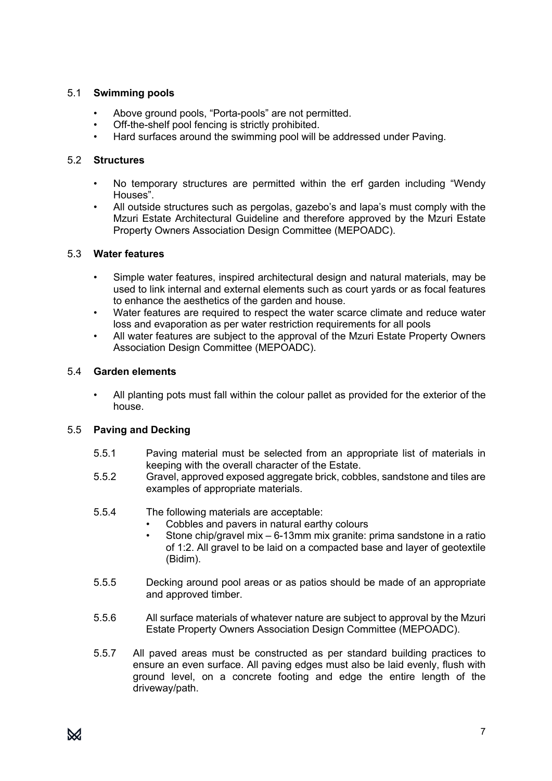# 5.1 **Swimming pools**

- Above ground pools, "Porta-pools" are not permitted.
- Off-the-shelf pool fencing is strictly prohibited.
- Hard surfaces around the swimming pool will be addressed under Paving.

# 5.2 **Structures**

- No temporary structures are permitted within the erf garden including "Wendy Houses".
- All outside structures such as pergolas, gazebo's and lapa's must comply with the Mzuri Estate Architectural Guideline and therefore approved by the Mzuri Estate Property Owners Association Design Committee (MEPOADC).

## 5.3 **Water features**

- Simple water features, inspired architectural design and natural materials, may be used to link internal and external elements such as court yards or as focal features to enhance the aesthetics of the garden and house.
- Water features are required to respect the water scarce climate and reduce water loss and evaporation as per water restriction requirements for all pools
- All water features are subject to the approval of the Mzuri Estate Property Owners Association Design Committee (MEPOADC).

# 5.4 **Garden elements**

• All planting pots must fall within the colour pallet as provided for the exterior of the house.

# 5.5 **Paving and Decking**

- 5.5.1 Paving material must be selected from an appropriate list of materials in keeping with the overall character of the Estate.
- 5.5.2 Gravel, approved exposed aggregate brick, cobbles, sandstone and tiles are examples of appropriate materials.
- 5.5.4 The following materials are acceptable:
	- Cobbles and pavers in natural earthy colours
	- Stone chip/gravel mix 6-13mm mix granite: prima sandstone in a ratio of 1:2. All gravel to be laid on a compacted base and layer of geotextile (Bidim).
- 5.5.5 Decking around pool areas or as patios should be made of an appropriate and approved timber.
- 5.5.6 All surface materials of whatever nature are subject to approval by the Mzuri Estate Property Owners Association Design Committee (MEPOADC).
- 5.5.7 All paved areas must be constructed as per standard building practices to ensure an even surface. All paving edges must also be laid evenly, flush with ground level, on a concrete footing and edge the entire length of the driveway/path.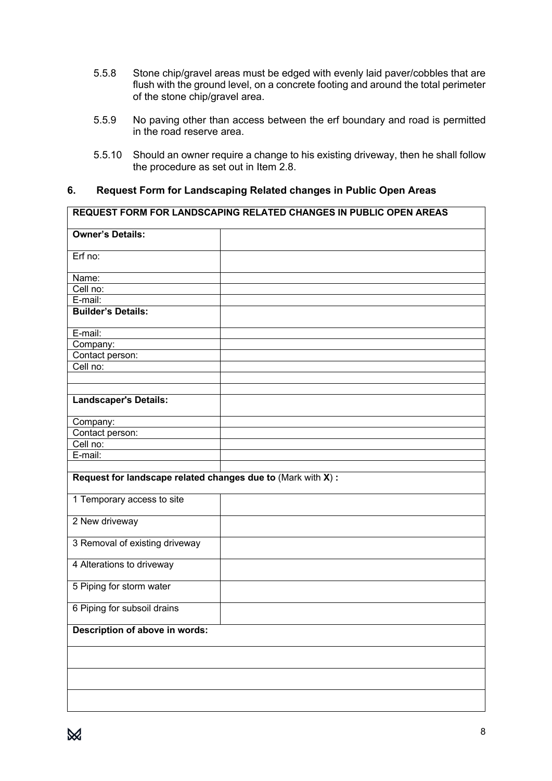- 5.5.8 Stone chip/gravel areas must be edged with evenly laid paver/cobbles that are flush with the ground level, on a concrete footing and around the total perimeter of the stone chip/gravel area.
- 5.5.9 No paving other than access between the erf boundary and road is permitted in the road reserve area.
- 5.5.10 Should an owner require a change to his existing driveway, then he shall follow the procedure as set out in Item 2.8.

## **6. Request Form for Landscaping Related changes in Public Open Areas**

|                                                              | <b>REQUEST FORM FOR LANDSCAPING RELATED CHANGES IN PUBLIC OPEN AREAS</b> |
|--------------------------------------------------------------|--------------------------------------------------------------------------|
| <b>Owner's Details:</b>                                      |                                                                          |
| Erf no:                                                      |                                                                          |
| Name:                                                        |                                                                          |
| Cell no:                                                     |                                                                          |
| E-mail:                                                      |                                                                          |
| <b>Builder's Details:</b>                                    |                                                                          |
| E-mail:                                                      |                                                                          |
| Company:                                                     |                                                                          |
| Contact person:                                              |                                                                          |
| Cell no:                                                     |                                                                          |
|                                                              |                                                                          |
|                                                              |                                                                          |
| <b>Landscaper's Details:</b>                                 |                                                                          |
| Company:                                                     |                                                                          |
| Contact person:                                              |                                                                          |
| Cell no:                                                     |                                                                          |
| E-mail:                                                      |                                                                          |
|                                                              |                                                                          |
| Request for landscape related changes due to (Mark with X) : |                                                                          |
| 1 Temporary access to site                                   |                                                                          |
| 2 New driveway                                               |                                                                          |
| 3 Removal of existing driveway                               |                                                                          |
| 4 Alterations to driveway                                    |                                                                          |
| 5 Piping for storm water                                     |                                                                          |
| 6 Piping for subsoil drains                                  |                                                                          |
| Description of above in words:                               |                                                                          |
|                                                              |                                                                          |
|                                                              |                                                                          |
|                                                              |                                                                          |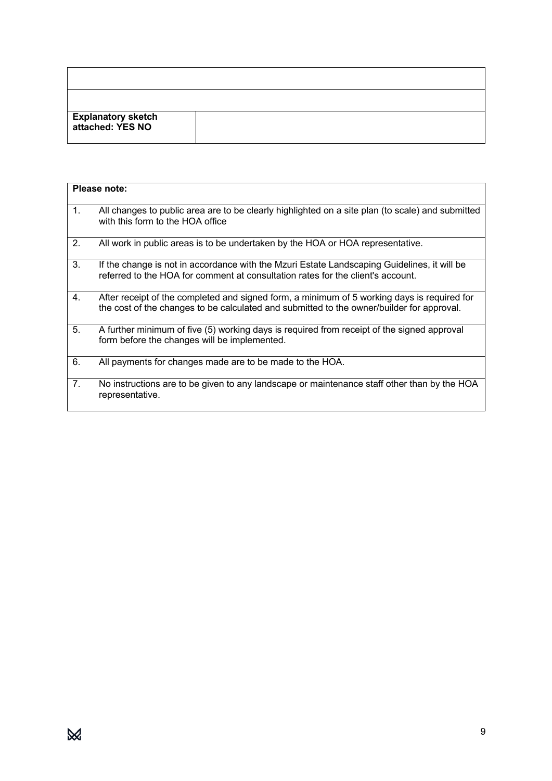| <b>Explanatory sketch<br/>attached: YES NO</b> |  |
|------------------------------------------------|--|

|    | Please note:                                                                                                                                                                             |
|----|------------------------------------------------------------------------------------------------------------------------------------------------------------------------------------------|
| 1. | All changes to public area are to be clearly highlighted on a site plan (to scale) and submitted<br>with this form to the HOA office                                                     |
| 2. | All work in public areas is to be undertaken by the HOA or HOA representative.                                                                                                           |
| 3. | If the change is not in accordance with the Mzuri Estate Landscaping Guidelines, it will be<br>referred to the HOA for comment at consultation rates for the client's account.           |
| 4. | After receipt of the completed and signed form, a minimum of 5 working days is required for<br>the cost of the changes to be calculated and submitted to the owner/builder for approval. |
| 5. | A further minimum of five (5) working days is required from receipt of the signed approval<br>form before the changes will be implemented.                                               |
| 6. | All payments for changes made are to be made to the HOA.                                                                                                                                 |
| 7. | No instructions are to be given to any landscape or maintenance staff other than by the HOA<br>representative.                                                                           |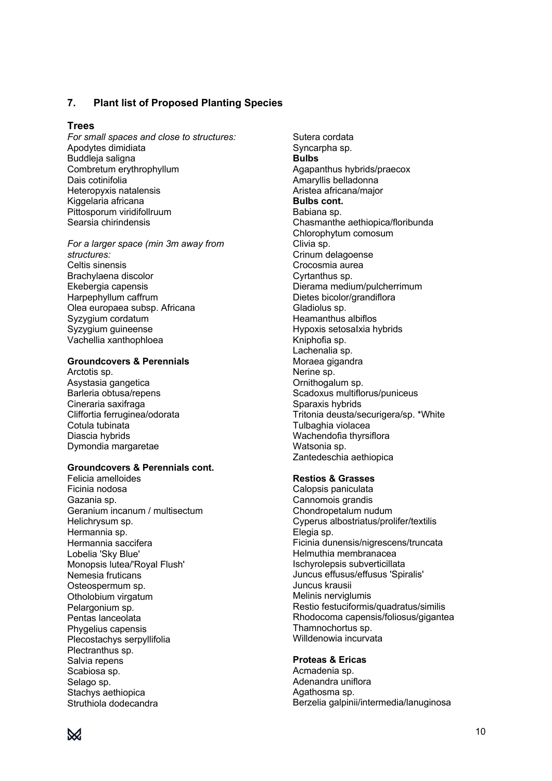#### **7. Plant list of Proposed Planting Species**

#### **Trees**

*For small spaces and close to structures:* Apodytes dimidiata Buddleja saligna Combretum erythrophyllum Dais cotinifolia Heteropyxis natalensis Kiggelaria africana Pittosporum viridifollruum Searsia chirindensis

*For a larger space (min 3m away from structures:* Celtis sinensis Brachylaena discolor Ekebergia capensis Harpephyllum caffrum Olea europaea subsp. Africana Syzygium cordatum Syzygium guineense Vachellia xanthophloea

#### **Groundcovers & Perennials**

Arctotis sp. Asystasia gangetica Barleria obtusa/repens Cineraria saxifraga Cliffortia ferruginea/odorata Cotula tubinata Diascia hybrids Dymondia margaretae

#### **Groundcovers & Perennials cont.**

Felicia amelloides Ficinia nodosa Gazania sp. Geranium incanum / multisectum Helichrysum sp. Hermannia sp. Hermannia saccifera Lobelia 'Sky Blue' Monopsis lutea/'Royal Flush' Nemesia fruticans Osteospermum sp. Otholobium virgatum Pelargonium sp. Pentas lanceolata Phygelius capensis Plecostachys serpyllifolia Plectranthus sp. Salvia repens Scabiosa sp. Selago sp. Stachys aethiopica Struthiola dodecandra

Sutera cordata Syncarpha sp. **Bulbs**  Agapanthus hybrids/praecox Amaryllis belladonna Aristea africana/major **Bulbs cont.** Babiana sp. Chasmanthe aethiopica/floribunda Chlorophytum comosum Clivia sp. Crinum delagoense Crocosmia aurea Cyrtanthus sp. Dierama medium/pulcherrimum Dietes bicolor/grandiflora Gladiolus sp. Heamanthus albiflos Hypoxis setosaIxia hybrids Kniphofia sp. Lachenalia sp. Moraea gigandra Nerine sp. Ornithogalum sp. Scadoxus multiflorus/puniceus Sparaxis hybrids Tritonia deusta/securigera/sp. \*White Tulbaghia violacea Wachendofia thyrsiflora Watsonia sp. Zantedeschia aethiopica

#### **Restios & Grasses**

Calopsis paniculata Cannomois grandis Chondropetalum nudum Cyperus albostriatus/prolifer/textilis Elegia sp. Ficinia dunensis/nigrescens/truncata Helmuthia membranacea Ischyrolepsis subverticillata Juncus effusus/effusus 'Spiralis' Juncus krausii Melinis nerviglumis Restio festuciformis/quadratus/similis Rhodocoma capensis/foliosus/gigantea Thamnochortus sp. Willdenowia incurvata

#### **Proteas & Ericas**

Acmadenia sp. Adenandra uniflora Agathosma sp. Berzelia galpinii/intermedia/lanuginosa